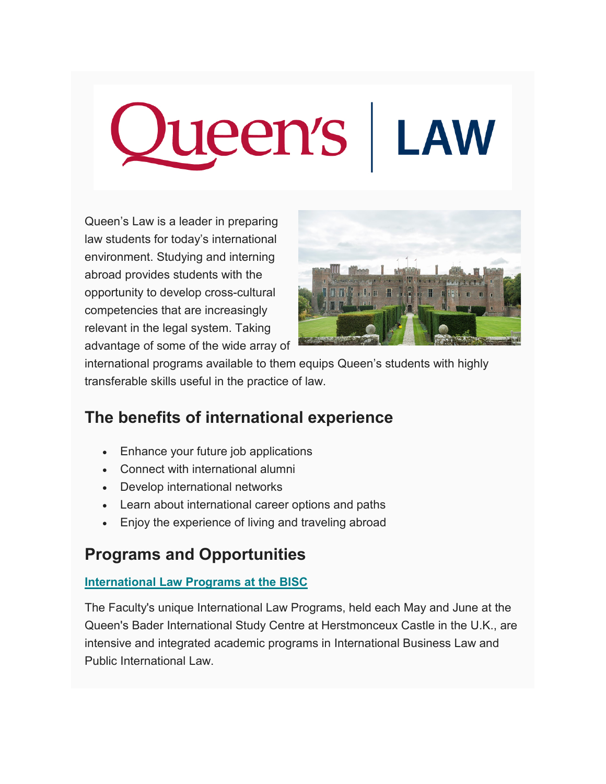# Queen's | LAW

Queen's Law is a leader in preparing law students for today's international environment. Studying and interning abroad provides students with the opportunity to develop cross-cultural competencies that are increasingly relevant in the legal system. Taking advantage of some of the wide array of



international programs available to them equips Queen's students with highly transferable skills useful in the practice of law.

# **The benefits of international experience**

- Enhance your future job applications
- Connect with international alumni
- Develop international networks
- Learn about international career options and paths
- Enjoy the experience of living and traveling abroad

## **Programs and Opportunities**

### **[International Law Programs at the BISC](http://law.queensu.ca/jd-studies/international-opportunities/global-law-programs-bisc)**

The Faculty's unique International Law Programs, held each May and June at the Queen's Bader International Study Centre at Herstmonceux Castle in the U.K., are intensive and integrated academic programs in International Business Law and Public International Law.